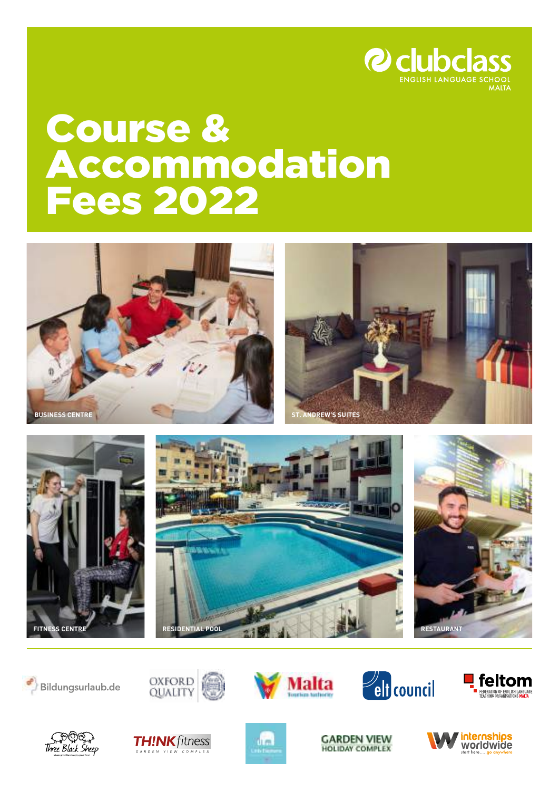

# Course & Accommodation Fees 2022





























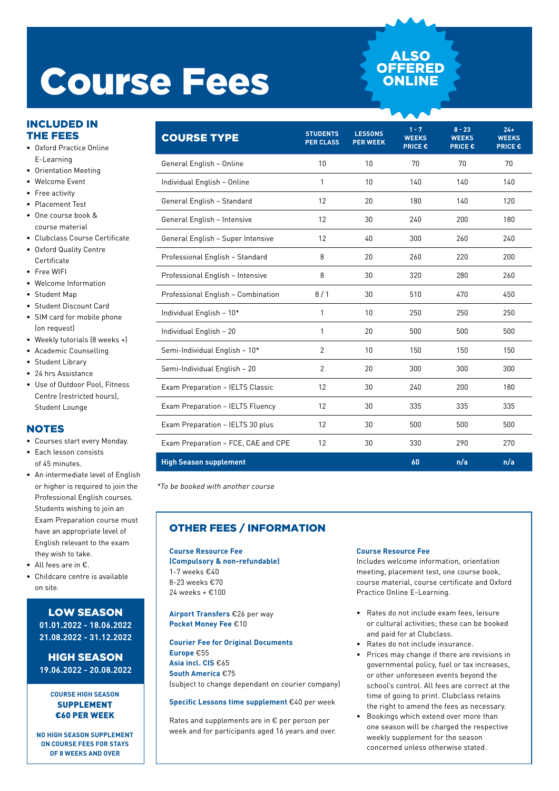# Course Fees

## INCLUDED IN THE FEES

- Oxford Practice Online E-Learning
- Orientation Meeting
- Welcome Event
- Free activity
- Placement Test
- One course book & course material
- Clubclass Course Certificate
- Oxford Quality Centre **Certificate**
- Free WIFI
- Welcome Information
- Student Map
- Student Discount Card
- SIM card for mobile phone (on request)
- Weekly tutorials (8 weeks +)
- Academic Counselling
- Student Library
- 24 hrs Assistance
- Use of Outdoor Pool, Fitness Centre (restricted hours), Student Lounge

## **NOTES**

- Courses start every Monday.
- Each lesson consists of 45 minutes.
- An intermediate level of English or higher is required to join the Professional English courses. Students wishing to join an Exam Preparation course must have an appropriate level of English relevant to the exam they wish to take.
- All fees are in €.
- Childcare centre is available on site.

## LOW SEASON **01.01.2022 - 18.06.2022 21.08.2022 - 31.12.2022**

HIGH SEASON **19.06.2022 - 20.08.2022**

### **COURSE HIGH SEASON**  SUPPLEMENT €60 PER WEEK

**NO HIGH SEASON SUPPLEMENT ON COURSE FEES FOR STAYS OF 8 WEEKS AND OVER**

| <b>COURSE TYPE</b>                  | <b>STUDENTS</b><br><b>PER CLASS</b> | <b>LESSONS</b><br><b>PER WEEK</b> | $1 - 7$<br><b>WEEKS</b><br><b>PRICE €</b> | $8 - 23$<br><b>WEEKS</b><br><b>PRICE€</b> | $24 +$<br><b>WEEKS</b><br><b>PRICE€</b> |
|-------------------------------------|-------------------------------------|-----------------------------------|-------------------------------------------|-------------------------------------------|-----------------------------------------|
| General English - Online            | 10                                  | 10                                | 70                                        | 70                                        | 70                                      |
| Individual English - Online         | 1                                   | 10                                | 140                                       | 140                                       | 140                                     |
| General English - Standard          | 12                                  | 20                                | 180                                       | 140                                       | 120                                     |
| General English - Intensive         | 12                                  | 30                                | 240                                       | 200                                       | 180                                     |
| General English - Super Intensive   | 12                                  | 40                                | 300                                       | 260                                       | 240                                     |
| Professional English - Standard     | 8                                   | 20                                | 260                                       | 220                                       | 200                                     |
| Professional English - Intensive    | 8                                   | 30                                | 320                                       | 280                                       | 260                                     |
| Professional English - Combination  | 8/1                                 | 30                                | 510                                       | 470                                       | 450                                     |
| Individual English - 10*            | 1                                   | 10                                | 250                                       | 250                                       | 250                                     |
| Individual English - 20             | 1                                   | 20                                | 500                                       | 500                                       | 500                                     |
| Semi-Individual English - 10*       | $\overline{2}$                      | 10                                | 150                                       | 150                                       | 150                                     |
| Semi-Individual English - 20        | $\overline{2}$                      | 20                                | 300                                       | 300                                       | 300                                     |
| Exam Preparation - IELTS Classic    | 12                                  | 30                                | 240                                       | 200                                       | 180                                     |
| Exam Preparation - IELTS Fluency    | 12                                  | 30                                | 335                                       | 335                                       | 335                                     |
| Exam Preparation - IELTS 30 plus    | 12                                  | 30                                | 500                                       | 500                                       | 500                                     |
| Exam Preparation - FCE, CAE and CPE | 12                                  | 30                                | 330                                       | 290                                       | 270                                     |
| <b>High Season supplement</b>       |                                     |                                   | 60                                        | n/a                                       | n/a                                     |

**ALSC OFFERE ONLIN** 

\*To be booked with another course

## OTHER FEES / INFORMATION

#### **Course Resource Fee (Compulsory & non-refundable)**  1-7 weeks €40 8-23 weeks €70 24 weeks + €100

**Airport Transfers** €26 per way **Pocket Money Fee** €10

**Courier Fee for Original Documents Europe** €55 **Asia incl. CIS** €65 **South America** €75 (subject to change dependant on courier company)

### **Specific Lessons time supplement** €40 per week

Rates and supplements are in € per person per week and for participants aged 16 years and over.

#### **Course Resource Fee**

Includes welcome information, orientation meeting, placement test, one course book, course material, course certificate and Oxford Practice Online E-Learning.

- Rates do not include exam fees, leisure or cultural activities; these can be booked and paid for at Clubclass.
- Rates do not include insurance.
- Prices may change if there are revisions in governmental policy, fuel or tax increases, or other unforeseen events beyond the school's control. All fees are correct at the time of going to print. Clubclass retains the right to amend the fees as necessary.
- Bookings which extend over more than one season will be charged the respective weekly supplement for the season concerned unless otherwise stated.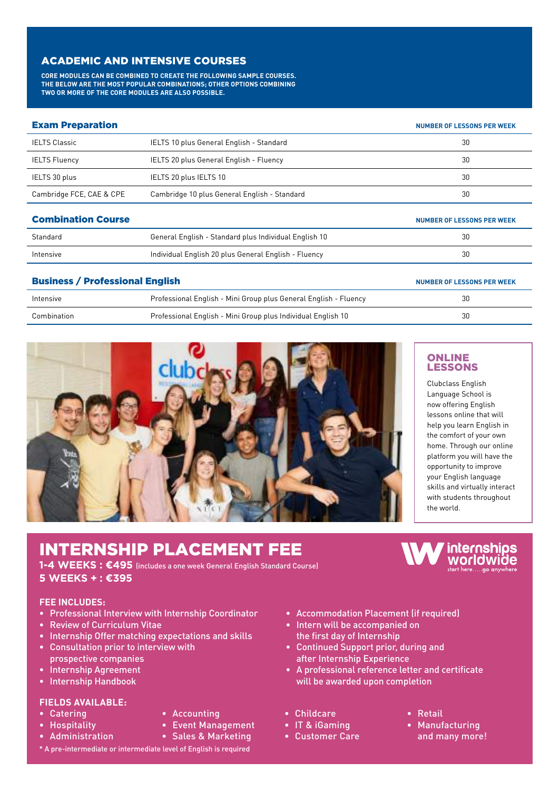## ACADEMIC AND INTENSIVE COURSES

**CORE MODULES CAN BE COMBINED TO CREATE THE FOLLOWING SAMPLE COURSES. THE BELOW ARE THE MOST POPULAR COMBINATIONS; OTHER OPTIONS COMBINING TWO OR MORE OF THE CORE MODULES ARE ALSO POSSIBLE.**

| <b>Exam Preparation</b>   |                                                       | <b>NUMBER OF LESSONS PER WEEK</b> |
|---------------------------|-------------------------------------------------------|-----------------------------------|
| <b>IELTS Classic</b>      | IELTS 10 plus General English - Standard              | 30                                |
| <b>IELTS Fluency</b>      | IELTS 20 plus General English - Fluency               | 30                                |
| IELTS 30 plus             | IELTS 20 plus IELTS 10                                | 30                                |
| Cambridge FCE, CAE & CPE  | Cambridge 10 plus General English - Standard          | 30                                |
| <b>Combination Course</b> |                                                       | <b>NUMBER OF LESSONS PER WEEK</b> |
| Standard                  | General English - Standard plus Individual English 10 | 30                                |
| Intensive                 | Individual English 20 plus General English - Fluency  | 30                                |
|                           |                                                       |                                   |

| <b>Business / Professional English</b> | NUMBER OF LESSONS PER WEEK                                       |    |
|----------------------------------------|------------------------------------------------------------------|----|
| Intensive                              | Professional English - Mini Group plus General English - Fluency | 30 |
| Combination                            | Professional English - Mini Group plus Individual English 10     | 30 |



## **ONLINE** LESSONS

Clubclass English Language School is now offering English lessons online that will help you learn English in the comfort of your own home. Through our online platform you will have the opportunity to improve your English language skills and virtually interact with students throughout the world.

## INTERNSHIP PLACEMENT FEE

**1-4 WEEKS : €495** (includes a one week General English Standard Course) **5 WEEKS + : €395**

## **FEE INCLUDES:**

- Professional Interview with Internship Coordinator
- Review of Curriculum Vitae
- Internship Offer matching expectations and skills
- Consultation prior to interview with prospective companies
- Internship Agreement
- Internship Handbook

## **FIELDS AVAILABLE:**

- Catering
- Hospitality

• Administration

- Accounting • Event Management
- Sales & Marketing
- \* A pre-intermediate or intermediate level of English is required
- Accommodation Placement (if required)
- Intern will be accompanied on the first day of Internship
- Continued Support prior, during and after Internship Experience
- A professional reference letter and certificate will be awarded upon completion
- Childcare
- IT & iGaming
- Customer Care

internships worldwide start here.....go any



- Retail
- Manufacturing and many more!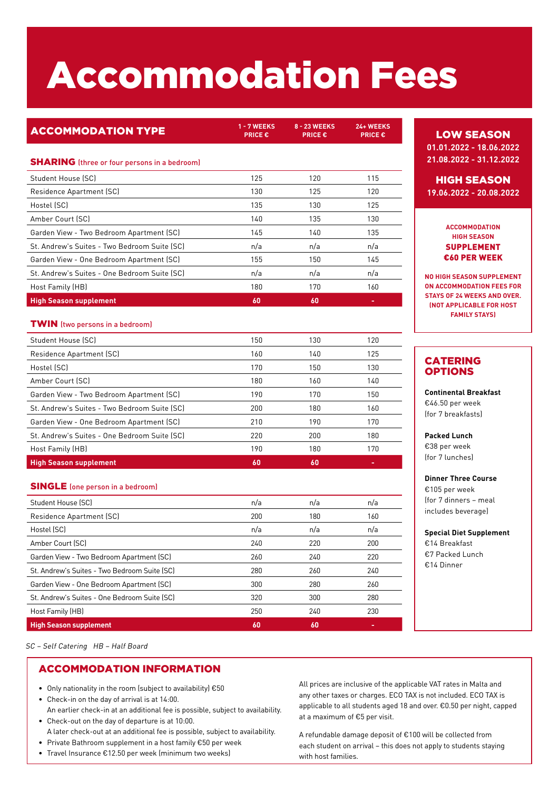# Accommodation Fees

**PRICE €**

## **ACCOMMODATION TYPE** 1-7 WEEKS

**8 - 23 WEEKS PRICE € 24+ WEEKS** 

**PRICE €**

## **SHARING** (three or four persons in a bedroom)

| Student House (SC)                           | 125 | 120 | 115 |
|----------------------------------------------|-----|-----|-----|
| Residence Apartment (SC)                     | 130 | 125 | 120 |
| Hostel (SC)                                  | 135 | 130 | 125 |
| Amber Court (SC)                             | 140 | 135 | 130 |
| Garden View - Two Bedroom Apartment (SC)     | 145 | 140 | 135 |
| St. Andrew's Suites - Two Bedroom Suite (SC) | n/a | n/a | n/a |
| Garden View - One Bedroom Apartment (SC)     | 155 | 150 | 145 |
| St. Andrew's Suites - One Bedroom Suite (SC) | n/a | n/a | n/a |
| Host Family (HB)                             | 180 | 170 | 160 |
| <b>High Season supplement</b>                | 60  | 60  |     |
|                                              |     |     |     |

## TWIN (two persons in a bedroom)

| Student House (SC)                           | 150 | 130 | 120 |
|----------------------------------------------|-----|-----|-----|
| Residence Apartment (SC)                     | 160 | 140 | 125 |
| Hostel (SC)                                  | 170 | 150 | 130 |
| Amber Court (SC)                             | 180 | 160 | 140 |
| Garden View - Two Bedroom Apartment (SC)     | 190 | 170 | 150 |
| St. Andrew's Suites - Two Bedroom Suite (SC) | 200 | 180 | 160 |
| Garden View - One Bedroom Apartment (SC)     | 210 | 190 | 170 |
| St. Andrew's Suites - One Bedroom Suite (SC) | 220 | 200 | 180 |
| Host Family (HB)                             | 190 | 180 | 170 |
| <b>High Season supplement</b>                | 60  | 60  |     |

## SINGLE (one person in a bedroom)

| Student House (SC)                           | n/a | n/a | n/a |
|----------------------------------------------|-----|-----|-----|
| Residence Apartment (SC)                     | 200 | 180 | 160 |
| Hostel (SC)                                  | n/a | n/a | n/a |
| Amber Court (SC)                             | 240 | 220 | 200 |
| Garden View - Two Bedroom Apartment (SC)     | 260 | 240 | 220 |
| St. Andrew's Suites - Two Bedroom Suite (SC) | 280 | 260 | 240 |
| Garden View - One Bedroom Apartment (SC)     | 300 | 280 | 260 |
| St. Andrew's Suites - One Bedroom Suite (SC) | 320 | 300 | 280 |
| Host Family (HB)                             | 250 | 240 | 230 |
| <b>High Season supplement</b>                | 60  | 60  |     |

SC – Self Catering HB – Half Board

## ACCOMMODATION INFORMATION

- Only nationality in the room (subject to availability) €50
- Check-in on the day of arrival is at 14:00.
- An earlier check-in at an additional fee is possible, subject to availability. • Check-out on the day of departure is at 10:00.
- A later check-out at an additional fee is possible, subject to availability. • Private Bathroom supplement in a host family €50 per week
- 
- Travel Insurance €12.50 per week (minimum two weeks)

## LOW SEASON

**01.01.2022 - 18.06.2022 21.08.2022 - 31.12.2022**

## HIGH SEASON

**19.06.2022 - 20.08.2022**

### **ACCOMMODATION HIGH SEASON**  SUPPLEMENT €60 PER WEEK

**NO HIGH SEASON SUPPLEMENT ON ACCOMMODATION FEES FOR STAYS OF 24 WEEKS AND OVER. (NOT APPLICABLE FOR HOST FAMILY STAYS)**

## CATERING OPTIONS

**Continental Breakfast** €46.50 per week (for 7 breakfasts)

**Packed Lunch**

€38 per week (for 7 lunches)

### **Dinner Three Course** €105 per week (for 7 dinners – meal includes beverage)

**Special Diet Supplement** €14 Breakfast €7 Packed Lunch €14 Dinner

All prices are inclusive of the applicable VAT rates in Malta and any other taxes or charges. ECO TAX is not included. ECO TAX is applicable to all students aged 18 and over. €0.50 per night, capped at a maximum of €5 per visit.

A refundable damage deposit of €100 will be collected from each student on arrival – this does not apply to students staying with host families.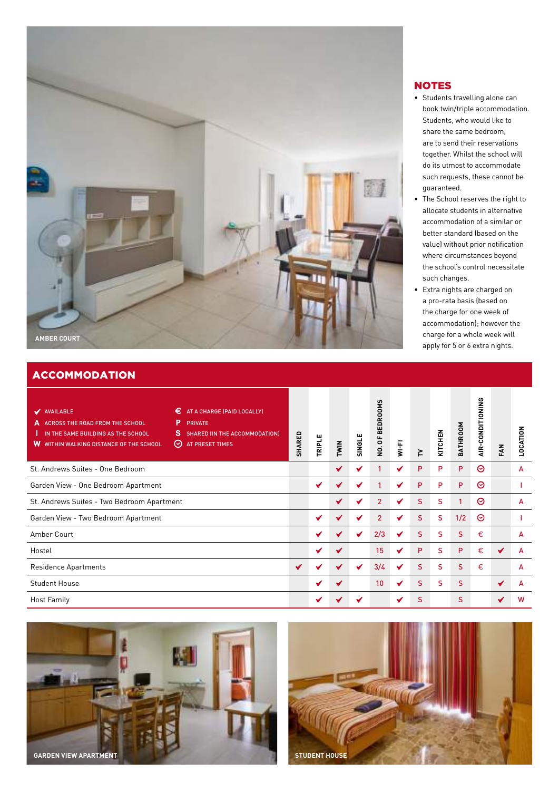

## **ACCOMMODATION**

| €<br>AT A CHARGE (PAID LOCALLY)<br>V AVAILABLE<br>P<br>ACROSS THE ROAD FROM THE SCHOOL<br><b>PRIVATE</b><br>47<br><sub>S</sub><br>IN THE SAME BUILDING AS THE SCHOOL<br><b>SHARED (IN THE ACCOMMODATION)</b><br>W<br><b>WITHIN WALKING DISTANCE OF THE SCHOOL</b><br>⊙<br>AT PRESET TIMES | SHARED | TRIPLE | TWIN | SINGLE | ທ<br>NO. OF BEDROOM | $W = F1$ | ≧  | KITCHEN | BATHROOM     | AIR-CONDITIONING | FAN | LOCATION |
|-------------------------------------------------------------------------------------------------------------------------------------------------------------------------------------------------------------------------------------------------------------------------------------------|--------|--------|------|--------|---------------------|----------|----|---------|--------------|------------------|-----|----------|
| St. Andrews Suites - One Bedroom                                                                                                                                                                                                                                                          |        |        | ✔    | ✔      | 1                   | ✔        | P  | P       | P            | ⊗                |     | A        |
| Garden View - One Bedroom Apartment                                                                                                                                                                                                                                                       |        | ✔      | ✔    | ✔      | 1                   | ✔        | P  | P       | P            | ⊗                |     |          |
| St. Andrews Suites - Two Bedroom Apartment                                                                                                                                                                                                                                                |        |        | ✔    |        | $\overline{2}$      |          | S  | S       | $\mathbf{1}$ | ☉                |     | A        |
| Garden View - Two Bedroom Apartment                                                                                                                                                                                                                                                       |        |        | ✔    | ✔      | $\overline{2}$      | ✔        | S  | S       | 1/2          | $\odot$          |     |          |
| Amber Court                                                                                                                                                                                                                                                                               |        | ✔      | ✔    | ✔      | 2/3                 | ✔        | S. | S       | S            | €                |     | A        |
| Hostel                                                                                                                                                                                                                                                                                    |        | ✔      | ✔    |        | 15                  | ✔        | P  | S       | P            | €                | ✔   | A        |
| Residence Apartments                                                                                                                                                                                                                                                                      |        |        | ✔    | ✔      | 3/4                 | ✔        | S  | S       | S            | €                |     | A        |
| <b>Student House</b>                                                                                                                                                                                                                                                                      |        | ✔      | ✔    |        | 10                  | ✔        | S  | S       | S            |                  | ✔   | A        |
| <b>Host Family</b>                                                                                                                                                                                                                                                                        |        |        |      |        |                     |          | S  |         | S            |                  | ✔   | W        |





## NOTES

- Students travelling alone can book twin/triple accommodation. Students, who would like to share the same bedroom, are to send their reservations together. Whilst the school will do its utmost to accommodate such requests, these cannot be guaranteed.
- The School reserves the right to allocate students in alternative accommodation of a similar or better standard (based on the value) without prior notification where circumstances beyond the school's control necessitate such changes.
- Extra nights are charged on a pro-rata basis (based on the charge for one week of accommodation); however the charge for a whole week will apply for 5 or 6 extra nights.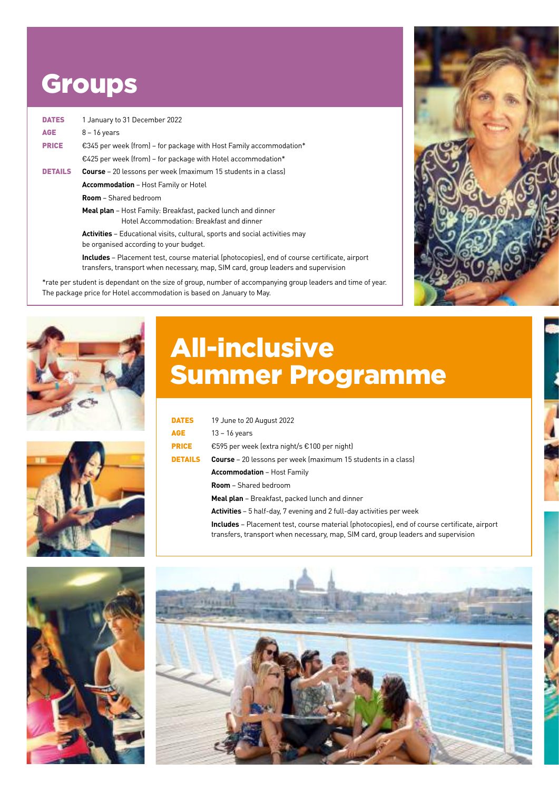## **Groups**

| <b>DATES</b>   | 1 January to 31 December 2022                                                                                                |  |
|----------------|------------------------------------------------------------------------------------------------------------------------------|--|
| <b>AGE</b>     | $8 - 16$ years                                                                                                               |  |
| <b>PRICE</b>   | €345 per week (from) – for package with Host Family accommodation*                                                           |  |
|                | $\epsilon$ 425 per week (from) – for package with Hotel accommodation*                                                       |  |
| <b>DETAILS</b> | <b>Course</b> – 20 lessons per week (maximum 15 students in a class)                                                         |  |
|                | <b>Accommodation</b> – Host Family or Hotel                                                                                  |  |
|                | <b>Room</b> – Shared bedroom                                                                                                 |  |
|                | <b>Meal plan</b> – Host Family: Breakfast, packed lunch and dinner<br>Hotel Accommodation: Breakfast and dinner              |  |
|                | <b>Activities</b> – Educational visits, cultural, sports and social activities may<br>be organised according to your budget. |  |
|                |                                                                                                                              |  |

**Includes** – Placement test, course material (photocopies), end of course certificate, airport transfers, transport when necessary, map, SIM card, group leaders and supervision

\*rate per student is dependant on the size of group, number of accompanying group leaders and time of year. The package price for Hotel accommodation is based on January to May.





## All-inclusive Summer Programme

| <b>DATES</b>   | 19 June to 20 August 2022                                                                                                                                                                |
|----------------|------------------------------------------------------------------------------------------------------------------------------------------------------------------------------------------|
| AGE.           | $13 - 16$ years                                                                                                                                                                          |
| <b>PRICE</b>   | €595 per week (extra night/s €100 per night)                                                                                                                                             |
| <b>DETAILS</b> | <b>Course</b> – 20 lessons per week (maximum 15 students in a class)                                                                                                                     |
|                | <b>Accommodation</b> – Host Family                                                                                                                                                       |
|                | <b>Room</b> – Shared bedroom                                                                                                                                                             |
|                | <b>Meal plan</b> – Breakfast, packed lunch and dinner                                                                                                                                    |
|                | <b>Activities</b> – 5 half-day, 7 evening and 2 full-day activities per week                                                                                                             |
|                | <b>Includes</b> – Placement test, course material (photocopies), end of course certificate, airport<br>transfers, transport when necessary, map, SIM card, group leaders and supervision |





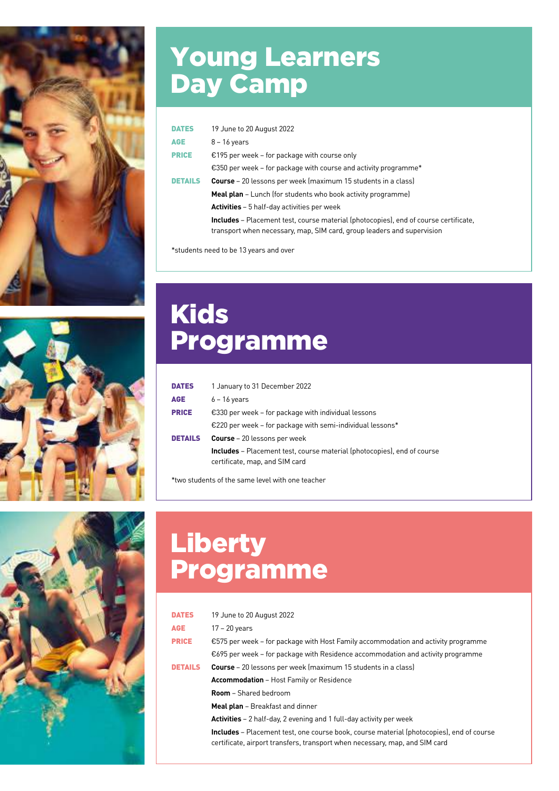



## Young Learners Day Camp

| <b>DATES</b>   | 19 June to 20 August 2022                                                                                                                                             |
|----------------|-----------------------------------------------------------------------------------------------------------------------------------------------------------------------|
| <b>AGE</b>     | $8 - 16$ years                                                                                                                                                        |
| <b>PRICE</b>   | €195 per week – for package with course only                                                                                                                          |
|                | €350 per week – for package with course and activity programme*                                                                                                       |
| <b>DETAILS</b> | <b>Course</b> – 20 lessons per week (maximum 15 students in a class)                                                                                                  |
|                | <b>Meal plan</b> – Lunch (for students who book activity programme)                                                                                                   |
|                | <b>Activities</b> – 5 half-day activities per week                                                                                                                    |
|                | <b>Includes</b> – Placement test, course material (photocopies), end of course certificate,<br>transport when necessary, map, SIM card, group leaders and supervision |

\*students need to be 13 years and over

## Kids Programme

| <b>DATES</b>   | 1 January to 31 December 2022                                                                                    |
|----------------|------------------------------------------------------------------------------------------------------------------|
| AGE            | $6 - 16$ years                                                                                                   |
| <b>PRICE</b>   | $\epsilon$ 330 per week – for package with individual lessons                                                    |
|                | €220 per week – for package with semi-individual lessons*                                                        |
| <b>DETAILS</b> | <b>Course</b> – 20 lessons per week                                                                              |
|                | <b>Includes</b> – Placement test, course material (photocopies), end of course<br>certificate, map, and SIM card |

\*two students of the same level with one teacher



| <b>DATES</b>   | 19 June to 20 August 2022                                                                                                                                                      |
|----------------|--------------------------------------------------------------------------------------------------------------------------------------------------------------------------------|
| <b>AGE</b>     | $17 - 20$ years                                                                                                                                                                |
| <b>PRICE</b>   | €575 per week – for package with Host Family accommodation and activity programme                                                                                              |
|                | €695 per week – for package with Residence accommodation and activity programme                                                                                                |
| <b>DETAILS</b> | <b>Course</b> – 20 lessons per week (maximum 15 students in a class)                                                                                                           |
|                | <b>Accommodation</b> – Host Family or Residence                                                                                                                                |
|                | <b>Room</b> – Shared bedroom                                                                                                                                                   |
|                | <b>Meal plan</b> – Breakfast and dinner                                                                                                                                        |
|                | <b>Activities</b> $-2$ half-day, 2 evening and 1 full-day activity per week                                                                                                    |
|                | <b>Includes</b> – Placement test, one course book, course material (photocopies), end of course<br>certificate, airport transfers, transport when necessary, map, and SIM card |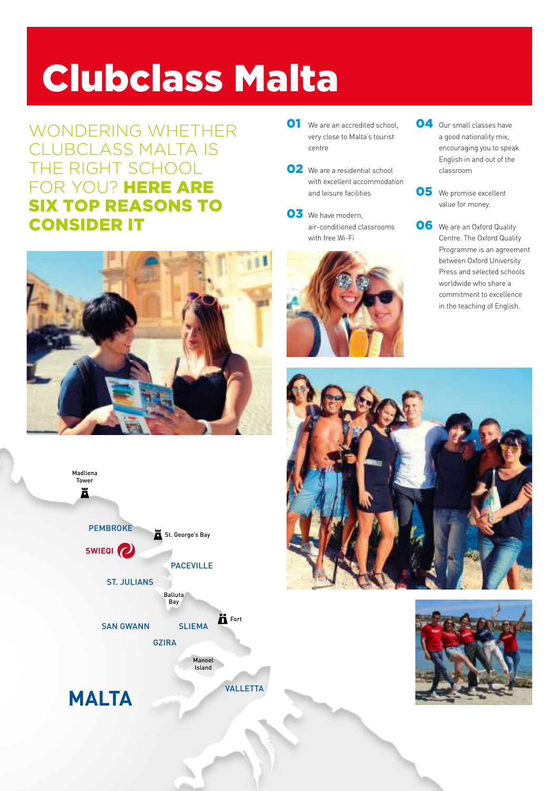# Clubclass Malta

WONDERING WHETHER CLUBCLASS MALTA IS THE RIGHT SCHOOL FOR YOU? HERE ARE SIX TOP REASONS TO CONSIDER IT





- O1 We are an accredited school, O4 very close to Malta's tourist centre
- O2 We are a residential school with excellent accommodation and leisure facilities
- 03 We have modern, air-conditioned classrooms with free Wi-Fi



- O4 Our small classes have a good nationality mix, encouraging you to speak English in and out of the classroom
- O5 We promise excellent value for money.
- O6 We are an Oxford Quality Centre. The Oxford Quality Programme is an agreement between Oxford University Press and selected schools worldwide who share a commitment to excellence in the teaching of English.



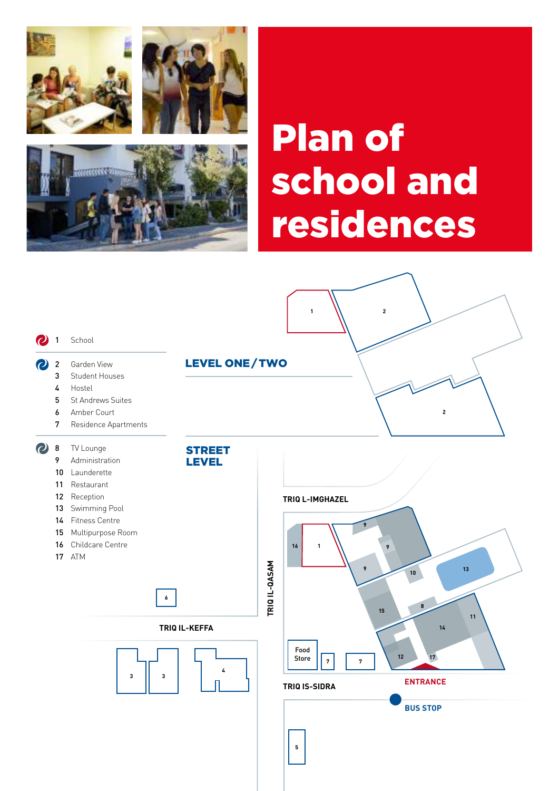

रास्त्



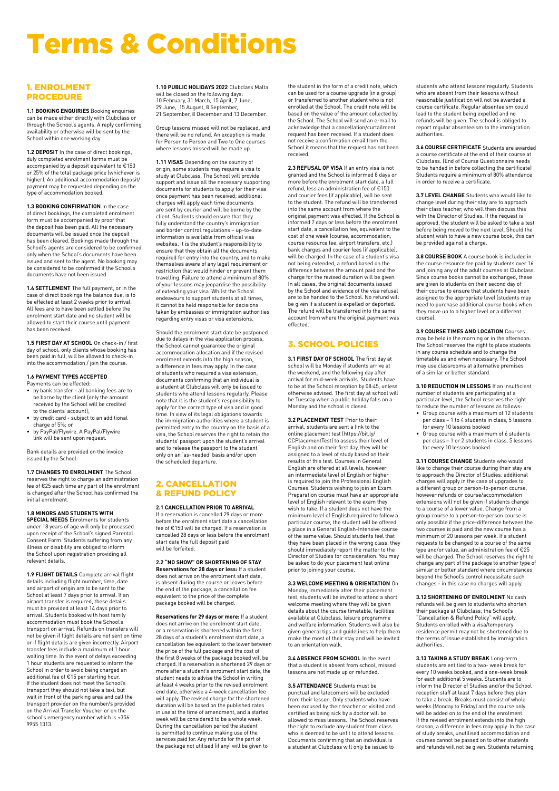## Terms & Conditions

### 1. ENROLMENT PROCEDURE

**1.1 BOOKING ENQUIRIES** Booking enquiries can be made either directly with Clubclass or through the School's agents. A reply confirming availability or otherwise will be sent by the School within one working day.

**1.2 DEPOSIT** In the case of direct bookings, duly completed enrolment forms must be accompanied by a deposit equivalent to €150 or 25% of the total package price (whichever is higher). An additional accommodation deposit/ payment may be requested depending on the type of accommodation booked.

**1.3 BOOKING CONFIRMATION** In the case of direct bookings, the completed enrolment form must be accompanied by proof that the deposit has been paid. All the necessary documents will be issued once the deposit has been cleared. Bookings made through the School's agents are considered to be confirmed only when the School's documents have been issued and sent to the agent. No booking may be considered to be confirmed if the School's documents have not been issued.

**1.4 SETTLEMENT** The full payment, or in the case of direct bookings the balance due, is to be effected at least 2 weeks prior to arrival. All fees are to have been settled before the enrolment start date and no student will be allowed to start their course until payment has been received.

**1.5 FIRST DAY AT SCHOOL** On check-in / first day of school, only clients whose booking has been paid in full, will be allowed to check-in into the accommodation / join the course.

#### **1.6 PAYMENT TYPES ACCEPTED**

- Payments can be effected: by bank transfer all banking fees are to
- be borne by the client (only the amount received by the School will be credited to the clients' account);
- by credit card subject to an additional charge of 5%; or • by PayPal/Flywire. A PayPal/Flywire
- link will be sent upon request.

Bank details are provided on the invoice issued by the School.

**1.7 CHANGES TO ENROLMENT** The School reserves the right to charge an administration fee of €25 each time any part of the enrolment is changed after the School has confirmed the initial enrolment.

#### **1.8 MINORS AND STUDENTS WITH**

**SPECIAL NEEDS** Enrolments for students under 18 years of age will only be processed upon receipt of the School's signed Parental Consent Form. Students suffering from any illness or disability are obliged to inform the School upon registration providing all relevant details.

**1.9 FLIGHT DETAILS** Complete arrival flight details including flight number, time, date and airport of origin are to be sent to the School at least 7 days prior to arrival. If an airport transfer is required, these details must be provided at least 14 days prior to arrival. Students booked with host family accommodation must book the School's transport on arrival. Refunds on transfers will not be given if flight details are not sent on time or if flight details are given incorrectly. Airport transfer fees include a maximum of 1 hour waiting time. In the event of delays exceeding 1 hour students are requested to inform the School in order to avoid being charged an additional fee of €15 per starting hour. If the student does not meet the School's transport they should not take a taxi, but wait in front of the parking area and call the transport provider on the number/s provided on the Arrival Transfer Voucher or on the school's emergency number which is +356 9955 1313.

**1.10 PUBLIC HOLIDAYS 2022** Clubclass Malta will be closed on the following days: 10 February, 31 March, 15 April, 7 June, 29 June, 15 August, 8 September, 21 September, 8 December and 13 December.

Group lessons missed will not be replaced, and there will be no refund. An exception is made for Person to Person and Two to One courses where lessons missed will be made up.

**1.11 VISAS** Depending on the country of origin, some students may require a visa to study at Clubclass. The School will provide study at stassitists: The senset the provide<br>support and issue all the necessary supporting documents for students to apply for their visa once payment has been received; additional charges will apply each time documents are sent by courier and will be borne by the client. Students should ensure that they fully understand the country's immigration and border control regulations – up-to-date information is available from official visa websites. It is the student's responsibility to ensure that they obtain all the documents required for entry into the country, and to make themselves aware of any legal requirement or restriction that would hinder or prevent them travelling. Failure to attend a minimum of 80% of your lessons may jeopardise the possibility of extending your visa. Whilst the School endeavours to support students at all times, it cannot be held responsible for decisions taken by embassies or immigration authorities regarding entry visas or visa extensions.

Should the enrolment start date be postponed due to delays in the visa application process, the School cannot guarantee the original accommodation allocation and if the revised enrolment extends into the high season, a difference in fees may apply. In the case of students who required a visa extension, documents confirming that an individual is a student at Clubclass will only be issued to students who attend lessons regularly. Please note that it is the student's responsibility to apply for the correct type of visa and in good time. In view of its legal obligations towards the immigration authorities where a student is permitted entry to the country on the basis of a visa, the School reserves the right to retain the students' passport upon the student's arrival and to release the passport to the student only on an 'as-needed' basis and/or upon the scheduled departure.

#### 2. CANCELLATION & REFUND POLICY

#### **2.1 CANCELLATION PRIOR TO ARRIVAL**

If a reservation is cancelled 29 days or more before the enrolment start date a cancellation fee of €150 will be charged. If a reservation is cancelled 28 days or less before the enrolment start date the full deposit paid will be forfeited.

**2.2 "NO SHOW" OR SHORTENING OF STAY Reservations for 28 days or less:** If a student does not arrive on the enrolment start date, is absent during the course or leaves before the end of the package, a cancellation fee equivalent to the price of the complete package booked will be charged.

**Reservations for 29 days or more:** If a student does not arrive on the enrolment start date, or a reservation is shortened within the first 28 days of a student's enrolment start date, a cancellation fee equivalent to the lower between the price of the full package and the cost of the first 8 weeks of the package booked will be charged. If a reservation is shortened 29 days or more after a student's enrolment start date, the student needs to advise the School in writing at least 4 weeks prior to the revised enrolment end date, otherwise a 4-week cancellation fee will apply. The revised charge for the shortened duration will be based on the published rates in use at the time of amendment, and a started week will be considered to be a whole week. During the cancellation period the student is permitted to continue making use of the services paid for. Any refunds for the part of the package not utilised (if any) will be given to

the student in the form of a credit note, which can be used for a course upgrade (in a group) or transferred to another student who is not enrolled at the School. The credit note will be based on the value of the amount collected by the School. The School will send an e-mail to acknowledge that a cancellation/curtailment request has been received. If a student does not receive a confirmation email from the School it means that the request has not been received.

**2.3 REFUSAL OF VISA** If an entry visa is not granted and the School is informed 8 days or more before the enrolment start date, a full refund, less an administration fee of €150 and courier fees (if applicable), will be sent to the student. The refund will be transferred into the same account from where the original payment was effected. If the School is informed 7 days or less before the enrolment start date, a cancellation fee, equivalent to the cost of one week (course, accommodation, course resource fee, airport transfers, etc.) bank charges and courier fees (if applicable), will be charged. In the case of a student's visa not being extended, a refund based on the difference between the amount paid and the charge for the revised duration will be given. In all cases, the original documents issued by the School and evidence of the visa refusal are to be handed to the School. No refund will be given if a student is expelled or deported. The refund will be transferred into the same account from where the original payment was effected.

### 3. SCHOOL POLICIES

**3.1 FIRST DAY OF SCHOOL** The first day at school will be Monday if students arrive at the weekend, and the following day after arrival for mid-week arrivals. Students have to be at the School reception by 08:45, unless otherwise advised. The first day at school will be Tuesday when a public holiday falls on a Monday and the school is closed.

**3.2 PLACEMENT TEST** Prior to their arrival, students are sent a link to the online placement test (https://bit.ly/ CCPlacementTest) to assess their level of English and on their first day, they will be assigned to a level of study based on their results of this test. Courses in General English are offered at all levels, however an intermediate level of English or higher is required to join the Professional English Courses. Students wishing to join an Exam Preparation course must have an appropriate level of English relevant to the exam they wish to take. If a student does not have the minimum level of English required to follow a particular course, the student will be offered a place in a General English-Intensive course of the same value. Should students feel that they have been placed in the wrong class, they should immediately report the matter to the Director of Studies for consideration. You may be asked to do your placement test online prior to joining your course.

**3.3 WELCOME MEETING & ORIENTATION** On Monday, immediately after their placement test, students will be invited to attend a short welcome meeting where they will be given details about the course timetable, facilities available at Clubclass, leisure programme and welfare information. Students will also be given general tips and guidelines to help them make the most of their stay and will be invited to an orientation walk.

**3.4 ABSENCE FROM SCHOOL** In the event that a student is absent from school, missed lessons are not made up or refunded.

**3.5 ATTENDANCE** Students must be punctual and latecomers will be excluded from their lesson. Only students who have been excused by their teacher or visited and certified as being sick by a doctor will be allowed to miss lessons. The School reserves the right to exclude any student from class who is deemed to be unfit to attend lessons. Documents confirming that an individual is a student at Clubclass will only be issued to

students who attend lessons regularly. Students who are absent from their lessons without reasonable justification will not be awarded a course certificate. Regular absenteeism could lead to the student being expelled and no refunds will be given. The school is obliged to report regular absenteeism to the immigration authorities.

**3.6 COURSE CERTIFICATE** Students are awarded a course certificate at the end of their course at Clubclass. (End of Course Questionnaire needs to be handed in before collecting the certificate) Students require a minimum of 80% attendance in order to receive a certificate.

**3.7 LEVEL CHANGE** Students who would like to change level during their stay are to approach their class teacher, who will then discuss this with the Director of Studies. If the request is approved, the student will be asked to take a test before being moved to the next level. Should the student wish to have a new course book, this can be provided against a charge.

**3.8 COURSE BOOK** A course book is included in the course resource fee paid by students over 16 and joining any of the adult courses at Clubclass. Since course books cannot be exchanged, these are given to students on their second day of their course to ensure that students have been assigned to the appropriate level (students may need to purchase additional course books when they move up to a higher level or a different course).

**3.9 COURSE TIMES AND LOCATION** Courses may be held in the morning or in the afternoon. The School reserves the right to place students in any course schedule and to change the timetable as and when necessary. The School may use classrooms at alternative premises of a similar or better standard.

**3.10 REDUCTION IN LESSONS** If an insufficient number of students are participating at a particular level, the School reserves the right to reduce the number of lessons as follows:

- Group course with a maximum of 12 students per class 1 to 4 students in class, 5 lessons for every 10 lessons booked
- Group course with a maximum of 6 students per class 1 or 2 students in class, 5 lessons for every 10 lessons booked

**3.11 COURSE CHANGE** Students who would like to change their course during their stay are to approach the Director of Studies; additional charges will apply in the case of upgrades to a different group or person-to-person course, however refunds or course/accommodation extensions will not be given if students change to a course of a lower value. Change from a group course to a person-to-person course is only possible if the price-difference between the two courses is paid and the new course has a minimum of 20 lessons per week. If a student requests to be changed to a course of the same type and/or value, an administration fee of €25 will be charged. The School reserves the right to change any part of the package to another type of similar or better standard where circumstances beyond the School's control necessitate such changes - in this case no charges will annly

**3.12 SHORTENING OF ENROLMENT** No cash refunds will be given to students who shorten their package at Clubclass; the School's "Cancellation & Refund Policy" will apply. Students enrolled with a visa/temporary residence permit may not be shortened due to the terms of issue established by immigration authorities.

**3.13 TAKING A STUDY BREAK** Long-term students are entitled to a two- week break for every 10 weeks booked, and a one-week break for each additional 5 weeks. Students are to inform the Director of Studies and/or the School reception staff at least 7 days before they plan to take a break. Breaks must consist of whole weeks (Monday to Friday) and the course only will be added on to the end of the enrolment. If the revised enrolment extends into the high season, a difference in fees may apply. In the case of study breaks, unutilised accommodation and courses cannot be passed on to other students and refunds will not be given. Students returning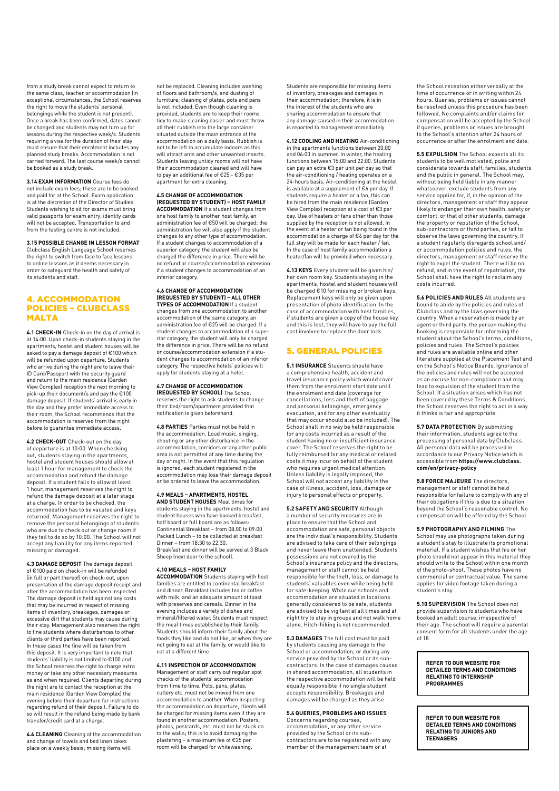from a study break cannot expect to return to the same class, teacher or accommodation (in exceptional circumstances, the School reserves the right to move the students' personal belongings while the student is not present). Once a break has been confirmed, dates cannot be changed and students may not turn up for lessons during the respective week/s. Students requiring a visa for the duration of their stay must ensure that their enrolment includes any planned study breaks. Accommodation is not carried forward. The last course week/s cannot be booked as a study break.

**3.14 EXAM INFORMATION** Course fees do not include exam fees; these are to be booked and paid for at the School. Exam application is at the discretion of the Director of Studies. Students wishing to sit for exams must bring valid passports for exam entry; identity cards will not be accepted. Transportation to and from the testing centre is not included.

**3.15 POSSIBLE CHANGE IN LESSON FORMAT** Clubclass English Language School reserves the right to switch from face to face lessons to online lessons as it deems necessary in order to safeguard the health and safety of its students and staff.

#### 4. ACCOMMODATION POLICIES – CLUBCLASS MALTA

**4.1 CHECK-IN** Check-in on the day of arrival is at 14:00. Upon check-in students staying in the apartments, hostel and student houses will be asked to pay a damage deposit of €100 which will be refunded upon departure. Students who arrive during the night are to leave their ID Card/Passport with the security guard and return to the main residence (Garden View Complex) reception the next morning to pick-up their document/s and pay the €100 damage deposit. If students' arrival is early in the day and they prefer immediate access to their room, the School recommends that the accommodation is reserved from the night before to guarantee immediate access.

**4.2 CHECK-OUT** Check-out on the day of departure is at 10:00. When checking out, students staying in the apartments, hostel and student houses should allow at least 1 hour for management to check the accommodation and refund the damage deposit. If a student fails to allow at least 1 hour, management reserves the right to refund the damage deposit at a later stage at a charge. In order to be checked, the accommodation has to be vacated and keys returned. Management reserves the right to remove the personal belongings of students who are due to check out or change room if they fail to do so by 10:00. The School will not accept any liability for any items reported missing or damaged.

**4.3 DAMAGE DEPOSIT** The damage deposit of €100 paid on check-in will be refunded<br>(in full or part thereof) on check-out, upon presentation of the damage deposit receipt and after the accommodation has been inspected. The damage deposit is held against any costs that may be incurred in respect of missing items of inventory, breakages, damages or excessive dirt that students may cause during their stay. Management also reserves the right to fine students where disturbances to other clients or third parties have been reported. In these cases the fine will be taken from this deposit. It is very important to note that students' liability is not limited to €100 and the School reserves the right to charge extra money or take any other necessary measures as and when required. Clients departing during the night are to contact the reception at the main residence (Garden View Complex) the evening before their departure for instructions regarding refund of their deposit. Failure to do so will result in the refund being made by bank transfer/credit card at a charge.

**4.4 CLEANING** Cleaning of the accommodation and change of towels and bed linen takes place on a weekly basis; missing items will

not be replaced. Cleaning includes washing of floors and bathroom/s, and dusting of furniture; cleaning of plates, pots and pans is not included. Even though cleaning is provided, students are to keep their rooms tidy to make cleaning easier and must throw all their rubbish into the large container situated outside the main entrance of the accommodation on a daily basis. Rubbish is not to be left to accumulate indoors as this will attract ants and other unwanted insects. Students leaving untidy rooms will not have their accommodation cleaned and will have to pay an additional fee of €25 - €35 per apartment for extra cleaning.

#### **4.5 CHANGE OF ACCOMMODATION (REQUESTED BY STUDENT) – HOST FAMILY**

**ACCOMMODATION** If a student changes from one host family to another host family, an administration fee of €50 will be charged; the administration fee will also apply if the student changes to any other type of accommodation. If a student changes to accommodation of a superior category, the student will also be charged the difference in price. There will be no refund or course/accommodation extension if a student changes to accommodation of an inferior category.

## **4.6 CHANGE OF ACCOMMODATION (REQUESTED BY STUDENT) – ALL OTHER TYPES OF ACCOMMODATION** If a student

changes from one accommodation to another accommodation of the same category, an administration fee of €25 will be charged. If a student changes to accommodation of a superior category, the student will only be charged the difference in price. There will be no refund or course/accommodation extension if a student changes to accommodation of an inferior category. The respective hotels' policies will apply for students staying at a hotel.

**4.7 CHANGE OF ACCOMMODATION (REQUESTED BY SCHOOL)** The School reserves the right to ask students to change their bed/room/apartment provided that notification is given beforehand.

**4.8 PARTIES** Parties must not be held in the accommodation. Loud music, singing, shouting or any other disturbance in the accommodation, corridors or any other public area is not permitted at any time during the day or night. In the event that this regulation is ignored, each student registered in the accommodation may lose their damage deposit or be ordered to leave the accommodation.

## **4.9 MEALS – APARTMENTS, HOSTEL AND STUDENT HOUSES** Meal times for

students staying in the apartments, hostel and student houses who have booked breakfast, half board or full board are as follows: Continental Breakfast – from 08:00 to 09:00 Packed Lunch – to be collected at breakfast Dinner – from 18:30 to 22:30. Breakfast and dinner will be served at 3 Black Sheep (next door to the school).

#### **4.10 MEALS – HOST FAMILY**

**ACCOMMODATION** Students staying with host families are entitled to continental breakfast and dinner. Breakfast includes tea or coffee with milk, and an adequate amount of toast with preserves and cereals. Dinner in the evening includes a variety of dishes and mineral/filtered water. Students must respect the meal times established by their family. Students should inform their family about the foods they like and do not like, or when they are not going to eat at the family, or would like to eat at a different time.

#### **4.11 INSPECTION OF ACCOMMODATION**

Management or staff carry out regular spot checks of the students' accommodation from time to time. Pots, pans, plates, cutlery etc. must not be moved from one accommodation to another. When inspecting the accommodation on departure, clients will be charged for missing items even if they are found in another accommodation. Posters, photos, postcards, etc. must not be stuck on to the walls; this is to avoid damaging the plastering – a maximum fee of €25 per room will be charged for whitewashing.

Students are responsible for missing items of inventory, breakages and damages in their accommodation; therefore, it is in the interest of the students who are sharing accommodation to ensure that any damage caused in their accommodation is reported to management immediately.

**4.12 COOLING AND HEATING** Air-conditioning in the apartments functions between 20:00 and 06:00 in summer. In winter, the heating functions between 15:00 and 22:00. Students can pay an extra €3 per unit per day so that the air-conditioning / heating operates on a 24-hours basis. Air-conditioning at the hostel is available at a supplement of €6 per day. If students require a heater or a fan, this can be hired from the main residence (Garden View Complex) reception at a cost of €3 per day. Use of heaters or fans other than those supplied by the reception is not allowed. In the event of a heater or fan being found in the accommodation a charge of €6 per day for the full stay will be made for each heater / fan. In the case of host family accommodation a heater/fan will be provided when necessary.

**4.13 KEYS** Every student will be given his/ her own room key. Students staying in the apartments, hostel and student houses will be charged €10 for missing or broken keys. Replacement keys will only be given upon presentation of photo identification. In the case of accommodation with host families, if students are given a copy of the house key and this is lost, they will have to pay the full cost involved to replace the door lock.

#### 5. GENERAL POLICIES

**5.1 INSURANCE** Students should have a comprehensive health, accident and travel insurance policy which would cover them from the enrolment start date until the enrolment end date (coverage for cancellations, loss and theft of baggage and personal belongings, emergency evacuation, and for any other eventuality that may occur should also be included). The School shall in no way be held responsible for any costs incurred as a result of the student having no or insufficient insurance cover. The School reserves the right to be fully reimbursed for any medical or related costs it may incur on behalf of the student who requires urgent medical attention. Unless liability is legally imposed, the School will not accept any liability in the case of illness, accident, loss, damage or injury to personal effects or property.

**5.2 SAFETY AND SECURITY** Although a number of security measures are in place to ensure that the School and accommodation are safe, personal objects are the individual's responsibility. Students are advised to take care of their belongings and never leave them unattended. Students' possessions are not covered by the School's insurance policy and the directors, management or staff cannot be held responsible for the theft, loss, or damage to students' valuables even while being held for safe-keeping. While our schools and accommodation are situated in locations generally considered to be safe, students are advised to be vigilant at all times and at night try to stay in groups and not walk home alone. Hitch-hiking is not recommended.

**5.3 DAMAGES** The full cost must be paid by students causing any damage to the School or accommodation, or during any service provided by the School or its subcontractors. In the case of damages caused in shared accommodation, all students in the respective accommodation will be held equally responsible if no single student accepts responsibility. Breakages and damages will be charged as they arise.

#### **5.4 QUERIES, PROBLEMS AND ISSUES**

Concerns regarding courses, accommodation, or any other service provided by the School or its subcontractors are to be registered with any member of the management team or at

the School reception either verbally at the time of occurrence or in writing within 24 hours. Queries, problems or issues cannot be resolved unless this procedure has been followed. No complaints and/or claims for compensation will be accepted by the School if queries, problems or issues are brought to the School's attention after 24 hours of occurrence or after the enrolment end date.

**5.5 EXPULSION** The School expects all its students to be well motivated, polite and considerate towards staff, families, students and the public in general. The School may, without being held liable in any manner whatsoever, exclude students from any service applied for, if, in the opinion of the directors, management or staff they appear likely to endanger their own health, safety or comfort, or that of other students, damage the property or reputation of the School, sub-contractors or third parties, or fail to observe the laws governing the country. If a student regularly disregards school and/ or accommodation policies and rules, the directors, management or staff reserve the right to expel the student. There will be no refund, and in the event of repatriation, the School shall have the right to reclaim any costs incurred.

**5.6 POLICIES AND RULES** All students are bound to abide by the policies and rules of Clubclass and by the laws governing the country. When a reservation is made by an agent or third party, the person making the booking is responsible for informing the student about the School's terms, conditions, policies and rules. The School's policies and rules are available online and other literature supplied at the Placement Test and on the School's Notice Boards. Ignorance of the policies and rules will not be accepted as an excuse for non-compliance and may lead to expulsion of the student from the School. If a situation arises which has not been covered by these Terms & Conditions, the School reserves the right to act in a way it thinks is fair and appropriate.

**5.7 DATA PROTECTION** By submitting their information, students agree to the processing of personal data by Clubclass. All personal data will be processed in accordance to our Privacy Notice which is accessible from **https://www.clubclass. com/en/privacy-policy**

**5.8 FORCE MAJEURE** The directors, management or staff cannot be held responsible for failure to comply with any of their obligations if this is due to a situation beyond the School's reasonable control. No compensation will be offered by the School.

#### **5.9 PHOTOGRAPHY AND FILMING** The

School may use photographs taken during a student's stay to illustrate its promotional material. If a student wishes that his or her photo should not appear in this material they should write to the School within one month of the photo-shoot. These photos have no commercial or contractual value. The same applies for video footage taken during a student's stay.

**5.10 SUPERVISION** The School does not provide supervision to students who have booked an adult course, irrespective of their age. The school will require a parental consent form for all students under the age of 18.

**REFER TO OUR WEBSITE FOR DETAILED TERMS AND CONDITIONS RELATING TO INTERNICUIP PROGRAMMES**

**REFER TO OUR WEBSITE FOR DETAILED TERMS AND CONDITIONS RELATING TO JUNIORS AND TEENAGERS**